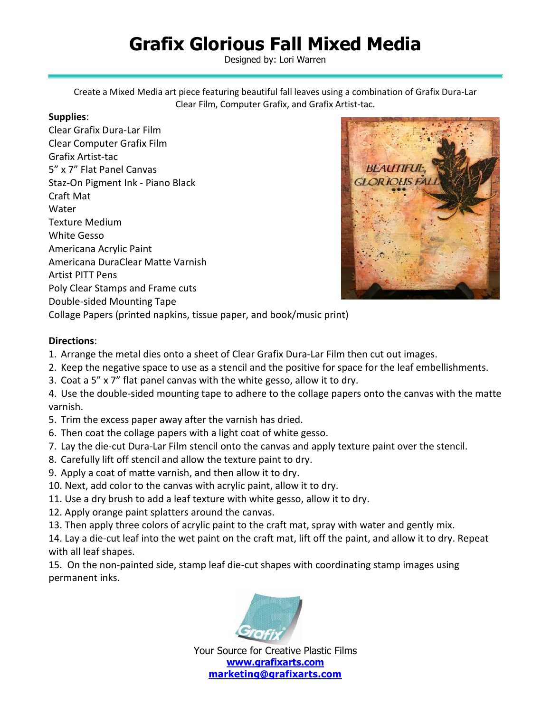## **Grafix Glorious Fall Mixed Media**

Designed by: Lori Warren

Create a Mixed Media art piece featuring beautiful fall leaves using a combination of Grafix Dura-Lar Clear Film, Computer Grafix, and Grafix Artist-tac.

## **Supplies**:

Clear Grafix Dura-Lar Film Clear Computer Grafix Film Grafix Artist-tac 5" x 7" Flat Panel Canvas Staz-On Pigment Ink - Piano Black Craft Mat Water Texture Medium White Gesso Americana Acrylic Paint Americana DuraClear Matte Varnish Artist PITT Pens Poly Clear Stamps and Frame cuts Double-sided Mounting Tape Collage Papers (printed napkins, tissue paper, and book/music print)



**Directions**:

- 1. Arrange the metal dies onto a sheet of Clear Grafix Dura-Lar Film then cut out images.
- 2. Keep the negative space to use as a stencil and the positive for space for the leaf embellishments.
- 3. Coat a 5" x 7" flat panel canvas with the white gesso, allow it to dry.
- 4. Use the double-sided mounting tape to adhere to the collage papers onto the canvas with the matte varnish.
- 5. Trim the excess paper away after the varnish has dried.
- 6. Then coat the collage papers with a light coat of white gesso.
- 7. Lay the die-cut Dura-Lar Film stencil onto the canvas and apply texture paint over the stencil.
- 8. Carefully lift off stencil and allow the texture paint to dry.
- 9. Apply a coat of matte varnish, and then allow it to dry.
- 10. Next, add color to the canvas with acrylic paint, allow it to dry.
- 11. Use a dry brush to add a leaf texture with white gesso, allow it to dry.
- 12. Apply orange paint splatters around the canvas.
- 13. Then apply three colors of acrylic paint to the craft mat, spray with water and gently mix.

14. Lay a die-cut leaf into the wet paint on the craft mat, lift off the paint, and allow it to dry. Repeat with all leaf shapes.

15. On the non-painted side, stamp leaf die-cut shapes with coordinating stamp images using permanent inks.



Your Source for Creative Plastic Films **[www.grafixarts.com](http://www.grafixarts.com/) [marketing@grafixarts.com](mailto:marketing@grafixarts.com)**